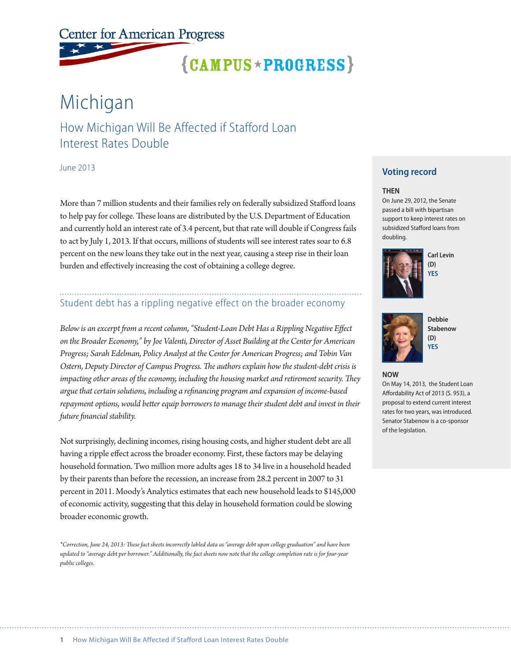**Center for American Progress** 

# ${CAMPUS \times PROGRESS}$

# Michigan

How Michigan Will Be Affected if Stafford Loan Interest Rates Double

June 2013

More than 7 million students and their families rely on federally subsidized Stafford loans to help pay for college. These loans are distributed by the U.S. Department of Education and currently hold an interest rate of 3.4 percent, but that rate will double if Congress fails to act by July 1, 2013. If that occurs, millions of students will see interest rates soar to 6.8 percent on the new loans they take out in the next year, causing a steep rise in their loan burden and effectively increasing the cost of obtaining a college degree.

### Student debt has a rippling negative effect on the broader economy

*Below is an excerpt from a recent column, "Student-Loan Debt Has a Rippling Negative Effect on the Broader Economy," by Joe Valenti, Director of Asset Building at the Center for American Progress; Sarah Edelman, Policy Analyst at the Center for American Progress; and Tobin Van Ostern, Deputy Director of Campus Progress. The authors explain how the student-debt crisis is impacting other areas of the economy, including the housing market and retirement security. They argue that certain solutions, including a refinancing program and expansion of income-based repayment options, would better equip borrowers to manage their student debt and invest in their future financial stability.*

Not surprisingly, declining incomes, rising housing costs, and higher student debt are all having a ripple effect across the broader economy. First, these factors may be delaying household formation. Two million more adults ages 18 to 34 live in a household headed by their parents than before the recession, an increase from 28.2 percent in 2007 to 31 percent in 2011. Moody's Analytics estimates that each new household leads to \$145,000 of economic activity, suggesting that this delay in household formation could be slowing broader economic growth.

*\*Correction, June 24, 2013: These fact sheets incorrectly labled data as "average debt upon college graduation" and have been updated to "average debt per borrower." Additionally, the fact sheets now note that the college completion rate is for four-year public colleges.*

### **Voting record**

#### **THEN**

On June 29, 2012, the Senate passed a bill with bipartisan support to keep interest rates on subsidized Stafford loans from doubling.







**Debbie Stabenow (D) YES**

**NOW**

On May 14, 2013, the Student Loan Affordability Act of 2013 (S. 953), a proposal to extend current interest rates for two years, was introduced. Senator Stabenow is a co-sponsor of the legislation.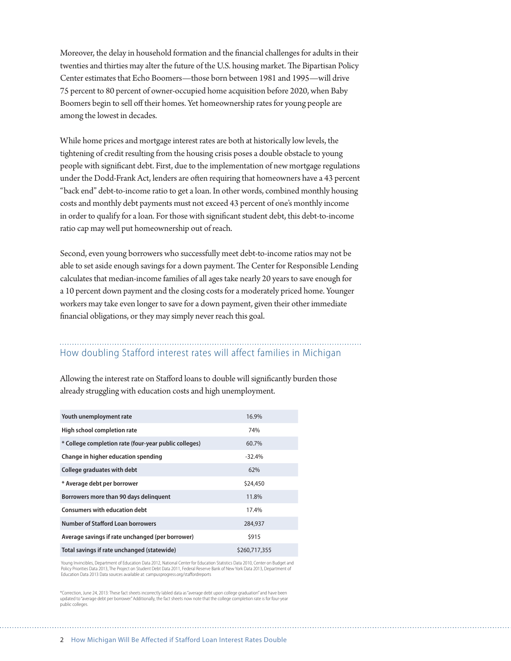Moreover, the delay in household formation and the financial challenges for adults in their twenties and thirties may alter the future of the U.S. housing market. The Bipartisan Policy Center estimates that Echo Boomers—those born between 1981 and 1995—will drive 75 percent to 80 percent of owner-occupied home acquisition before 2020, when Baby Boomers begin to sell off their homes. Yet homeownership rates for young people are among the lowest in decades.

While home prices and mortgage interest rates are both at historically low levels, the tightening of credit resulting from the housing crisis poses a double obstacle to young people with significant debt. First, due to the implementation of new mortgage regulations under the Dodd-Frank Act, lenders are often requiring that homeowners have a 43 percent "back end" debt-to-income ratio to get a loan. In other words, combined monthly housing costs and monthly debt payments must not exceed 43 percent of one's monthly income in order to qualify for a loan. For those with significant student debt, this debt-to-income ratio cap may well put homeownership out of reach.

Second, even young borrowers who successfully meet debt-to-income ratios may not be able to set aside enough savings for a down payment. The Center for Responsible Lending calculates that median-income families of all ages take nearly 20 years to save enough for a 10 percent down payment and the closing costs for a moderately priced home. Younger workers may take even longer to save for a down payment, given their other immediate financial obligations, or they may simply never reach this goal.

## How doubling Stafford interest rates will affect families in Michigan

Allowing the interest rate on Stafford loans to double will significantly burden those already struggling with education costs and high unemployment.

| Youth unemployment rate                               | 16.9%         |
|-------------------------------------------------------|---------------|
| High school completion rate                           | 74%           |
| * College completion rate (four-year public colleges) | 60.7%         |
| Change in higher education spending                   | $-32.4%$      |
| College graduates with debt                           | 62%           |
| * Average debt per borrower                           | \$24,450      |
| Borrowers more than 90 days delinquent                | 11.8%         |
| <b>Consumers with education debt</b>                  | 17.4%         |
| <b>Number of Stafford Loan borrowers</b>              | 284,937       |
| Average savings if rate unchanged (per borrower)      | \$915         |
| Total savings if rate unchanged (statewide)           | \$260,717,355 |

Young Invincibles, Department of Education Data 2012, National Center for Education Statistics Data 2010, Center on Budget and Policy Priorities Data 2013, The Project on Student Debt Data 2011, Federal Reserve Bank of New York Data 2013, Department of Education Data 2013 Data sources available at: campusprogress.org/staffordreports

\*Correction, June 24, 2013: These fact sheets incorrectly labled data as "average debt upon college graduation" and have been updated to "average debt per borrower." Additionally, the fact sheets now note that the college completion rate is for four-year public colleges.